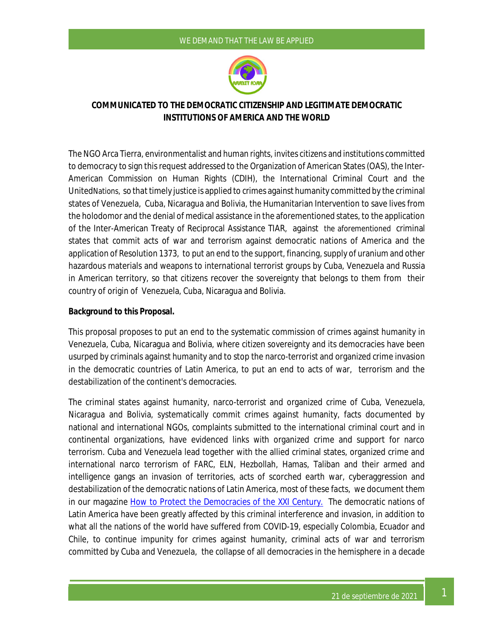# WE DEMAND THAT THE LAW BE APPLIED



# **COMMUNICATED TO THE DEMOCRATIC CITIZENSHIP AND LEGITIMATE DEMOCRATIC INSTITUTIONS OF AMERICA AND THE WORLD**

The NGO Arca Tierra, environmentalist and human rights, invites citizens and institutions committed to democracy to sign this request addressed to the Organization of American States (OAS), the Inter-American Commission on Human Rights (CDIH), the International Criminal Court and the UnitedNations, so that timely justice is applied to crimes against humanity committed by the criminal states of Venezuela, Cuba, Nicaragua and Bolivia, the Humanitarian Intervention to save lives from the holodomor and the denial of medical assistance in the aforementioned states, to the application of the Inter-American Treaty of Reciprocal Assistance TIAR, against the aforementioned criminal states that commit acts of war and terrorism against democratic nations of America and the application of Resolution 1373, to put an end to the support, financing, supply of uranium and other hazardous materials and weapons to international terrorist groups by Cuba, Venezuela and Russia in American territory, so that citizens recover the sovereignty that belongs to them from their country of origin of Venezuela, Cuba, Nicaragua and Bolivia.

# **Background to this Proposal.**

This proposal proposes to put an end to the systematic commission of crimes against humanity in Venezuela, Cuba, Nicaragua and Bolivia, where citizen sovereignty and its democracies have been usurped by criminals against humanity and to stop the narco-terrorist and organized crime invasion in the democratic countries of Latin America, to put an end to acts of war, terrorism and the destabilization of the continent's democracies.

The criminal states against humanity, narco-terrorist and organized crime of Cuba, Venezuela, Nicaragua and Bolivia, systematically commit crimes against humanity, facts documented by national and international NGOs, complaints submitted to the international criminal court and in continental organizations, have evidenced links with organized crime and support for narco terrorism. Cuba and Venezuela lead together with the allied criminal states, organized crime and international narco terrorism of FARC, ELN, Hezbollah, Hamas, Taliban and their armed and intelligence gangs an invasion of territories, acts of scorched earth war, cyberaggression and destabilization of the democratic nations of Latin America, most of these facts, we document them in our magazine How to Protect the Democracies of the XXI Century. The democratic nations of Latin America have been greatly affected by this criminal interference and invasion, in addition to what all the nations of the world have suffered from COVID-19, especially Colombia, Ecuador and Chile, to continue impunity for crimes against humanity, criminal acts of war and terrorism committed by Cuba and Venezuela, the collapse of all democracies in the hemisphere in a decade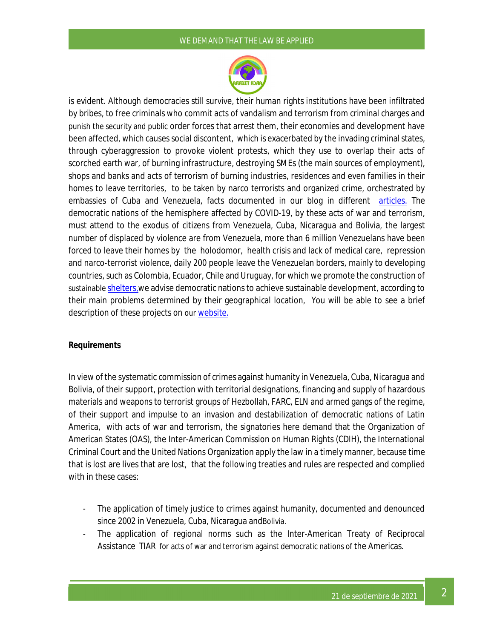#### WE DEMAND THAT THE LAW BE APPLIED



is evident. Although democracies still survive, their human rights institutions have been infiltrated by bribes, to free criminals who commit acts of vandalism and terrorism from criminal charges and punish the security and public order forces that arrest them, their economies and development have been affected, which causes social discontent, which is exacerbated by the invading criminal states, through cyberaggression to provoke violent protests, which they use to overlap their acts of scorched earth war, of burning infrastructure, destroying SMEs (the main sources of employment), shops and banks and acts of terrorism of burning industries, residences and even families in their homes to leave territories, to be taken by narco terrorists and organized crime, orchestrated by embassies of Cuba and Venezuela, facts documented in our blog in different articles. The democratic nations of the hemisphere affected by COVID-19, by these acts of war and terrorism, must attend to the exodus of citizens from Venezuela, Cuba, Nicaragua and Bolivia, the largest number of displaced by violence are from Venezuela, more than 6 million Venezuelans have been forced to leave their homes by the holodomor, health crisis and lack of medical care, repression and narco-terrorist violence, daily 200 people leave the Venezuelan borders, mainly to developing countries, such as Colombia, Ecuador, Chile and Uruguay, for which we promote the construction of sustainable shelters, we advise democratic nations to achieve sustainable development, according to their main problems determined by their geographical location, You will be able to see a brief description of these projects on our website.

# **Requirements**

In view of the systematic commission of crimes against humanity in Venezuela, Cuba, Nicaragua and Bolivia, of their support, protection with territorial designations, financing and supply of hazardous materials and weapons to terrorist groups of Hezbollah, FARC, ELN and armed gangs of the regime, of their support and impulse to an invasion and destabilization of democratic nations of Latin America, with acts of war and terrorism, the signatories here demand that the Organization of American States (OAS), the Inter-American Commission on Human Rights (CDIH), the International Criminal Court and the United Nations Organization apply the law in a timely manner, because time that is lost are lives that are lost, that the following treaties and rules are respected and complied with in these cases:

- The application of timely justice to crimes against humanity, documented and denounced since 2002 in Venezuela, Cuba, Nicaragua andBolivia.
- The application of regional norms such as the Inter-American Treaty of Reciprocal Assistance TIAR for acts of war and terrorism against democratic nations of the Americas.